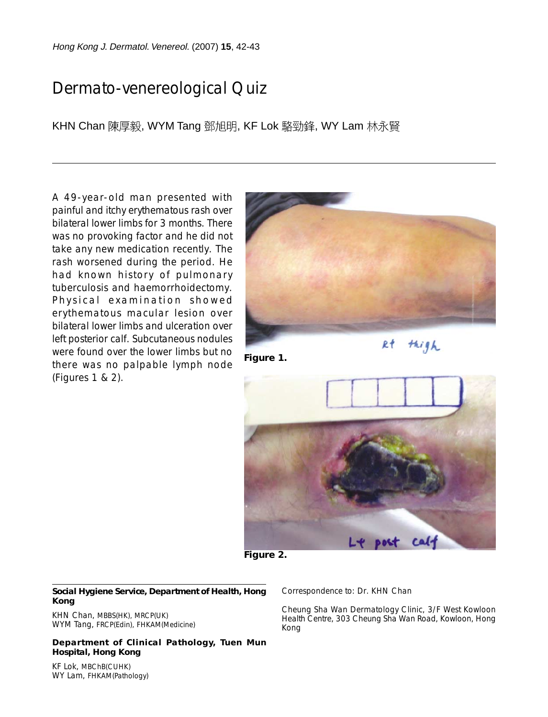Hong Kong J. Dermatol. Venereol. (2007) **15**, 42-43

## Dermato-venereological Quiz

KHN Chan 陳厚毅, WYM Tang 鄧旭明, KF Lok 駱勁鋒, WY Lam 林永賢

A 49-year-old man presented with painful and itchy erythematous rash over bilateral lower limbs for 3 months. There was no provoking factor and he did not take any new medication recently. The rash worsened during the period. He had known history of pulmonary tuberculosis and haemorrhoidectomy. Physical examination showed erythematous macular lesion over bilateral lower limbs and ulceration over left posterior calf. Subcutaneous nodules were found over the lower limbs but no there was no palpable lymph node (Figures 1 & 2).



**Figure 1.**

thigh  $R<sub>t</sub>$ 



**Figure 2.**

## **Social Hygiene Service, Department of Health, Hong Kong**

KHN Chan, MBBS(HK), MRCP(UK) WYM Tang, FRCP(Edin), FHKAM(Medicine)

**Department of Clinical Pathology, Tuen Mun Hospital, Hong Kong**

Correspondence to: Dr. KHN Chan

Cheung Sha Wan Dermatology Clinic, 3/F West Kowloon Health Centre, 303 Cheung Sha Wan Road, Kowloon, Hong Kong

KF Lok, MBChB(CUHK) WY Lam, FHKAM(Pathology)